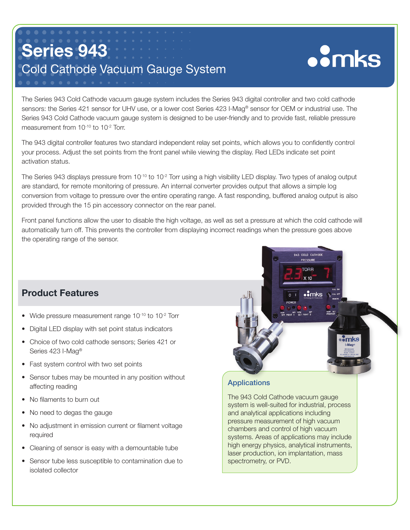# Series 943 Cold Cathode Vacuum Gauge System

# **oomks**

The Series 943 Cold Cathode vacuum gauge system includes the Series 943 digital controller and two cold cathode sensors: the Series 421 sensor for UHV use, or a lower cost Series 423 I-Mag® sensor for OEM or industrial use. The Series 943 Cold Cathode vacuum gauge system is designed to be user-friendly and to provide fast, reliable pressure measurement from 10<sup>-10</sup> to 10<sup>-2</sup> Torr.

The 943 digital controller features two standard independent relay set points, which allows you to confidently control your process. Adjust the set points from the front panel while viewing the display. Red LEDs indicate set point activation status.

The Series 943 displays pressure from  $10^{-10}$  to  $10^{-2}$  Torr using a high visibility LED display. Two types of analog output are standard, for remote monitoring of pressure. An internal converter provides output that allows a simple log conversion from voltage to pressure over the entire operating range. A fast responding, buffered analog output is also provided through the 15 pin accessory connector on the rear panel.

Front panel functions allow the user to disable the high voltage, as well as set a pressure at which the cold cathode will automatically turn off. This prevents the controller from displaying incorrect readings when the pressure goes above the operating range of the sensor.

# Product Features

l

- Wide pressure measurement range 10<sup>-10</sup> to 10<sup>-2</sup> Torr
- Digital LED display with set point status indicators
- Choice of two cold cathode sensors; Series 421 or Series 423 I-Mag®
- Fast system control with two set points
- Sensor tubes may be mounted in any position without affecting reading
- No filaments to burn out
- No need to degas the gauge
- No adjustment in emission current or filament voltage required
- Cleaning of sensor is easy with a demountable tube
- Sensor tube less susceptible to contamination due to isolated collector



## **Applications**

The 943 Cold Cathode vacuum gauge system is well-suited for industrial, process and analytical applications including pressure measurement of high vacuum chambers and control of high vacuum systems. Areas of applications may include high energy physics, analytical instruments, laser production, ion implantation, mass spectrometry, or PVD.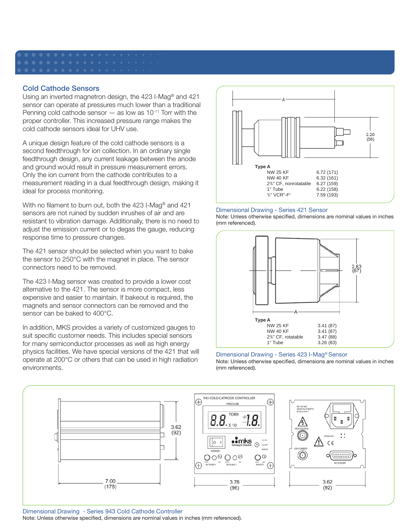### Cold Cathode Sensors

Using an inverted magnetron design, the 423 I-Mag® and 421 sensor can operate at pressures much lower than a traditional Penning cold cathode sensor  $-$  as low as 10<sup>-11</sup> Torr with the proper controller. This increased pressure range makes the cold cathode sensors ideal for UHV use.

A unique design feature of the cold cathode sensors is a second feedthrough for ion collection. In an ordinary single feedthrough design, any current leakage between the anode and ground would result in pressure measurement errors. Only the ion current from the cathode contributes to a measurement reading in a dual feedthrough design, making it ideal for process monitoring.

With no filament to burn out, both the 423 I-Mag® and 421 sensors are not ruined by sudden inrushes of air and are resistant to vibration damage. Additionally, there is no need to adjust the emission current or to degas the gauge, reducing response time to pressure changes.

The 421 sensor should be selected when you want to bake the sensor to 250°C with the magnet in place. The sensor connectors need to be removed.

The 423 I-Mag sensor was created to provide a lower cost alternative to the 421. The sensor is more compact, less expensive and easier to maintain. If bakeout is required, the magnets and sensor connectors can be removed and the sensor can be baked to 400°C.

In addition, MKS provides a variety of customized gauges to suit specific customer needs. This includes special sensors for many semiconductor processes as well as high energy physics facilities. We have special versions of the 421 that will operate at 200°C or others that can be used in high radiation environments.



Dimensional Drawing - Series 421 Sensor

Note: Unless otherwise specified, dimensions are nominal values in inches (mm referenced).



#### Dimensional Drawing - Series 423 I-Mag® Sensor Note: Unless otherwise specified, dimensions are nominal values in inches (mm referenced).



Dimensional Drawing - Series 943 Cold Cathode Controller Note: Unless otherwise specified, dimensions are nominal values in inches (mm referenced).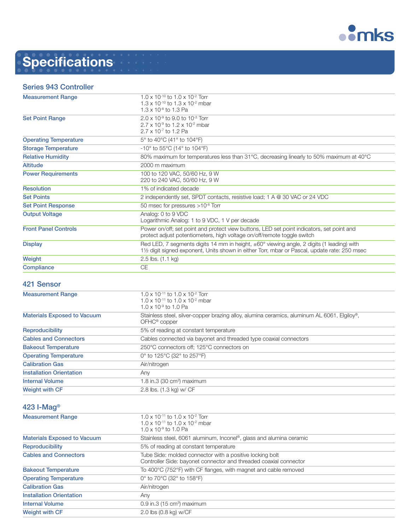

# **Specifications**

### Series 943 Controller

| <b>Measurement Range</b>     | $1.0 \times 10^{-10}$ to $1.0 \times 10^{-2}$ Torr                                                  |
|------------------------------|-----------------------------------------------------------------------------------------------------|
|                              | 1.3 x 10 <sup>-10</sup> to 1.3 x 10 <sup>-2</sup> mbar                                              |
|                              | $1.3 \times 10^{-8}$ to 1.3 Pa                                                                      |
| <b>Set Point Range</b>       | $2.0 \times 10^{-9}$ to 9.0 to 10 <sup>-3</sup> Torr                                                |
|                              | $2.7 \times 10^{-9}$ to 1.2 x 10 <sup>-2</sup> mbar                                                 |
|                              | $2.7 \times 10^{-7}$ to 1.2 Pa                                                                      |
| <b>Operating Temperature</b> | 5° to 40°C (41° to 104°F)                                                                           |
| <b>Storage Temperature</b>   | $-10^{\circ}$ to 55 $^{\circ}$ C (14 $^{\circ}$ to 104 $^{\circ}$ F)                                |
| <b>Relative Humidity</b>     | 80% maximum for temperatures less than 31°C, decreasing linearly to 50% maximum at 40°C             |
| <b>Altitude</b>              | 2000 m maximum                                                                                      |
| <b>Power Requirements</b>    | 100 to 120 VAC, 50/60 Hz, 9 W                                                                       |
|                              | 220 to 240 VAC, 50/60 Hz, 9 W                                                                       |
| <b>Resolution</b>            | 1% of indicated decade                                                                              |
| <b>Set Points</b>            | 2 independently set, SPDT contacts, resistive load; 1 A @ 30 VAC or 24 VDC                          |
| <b>Set Point Response</b>    | 50 msec for pressures >10 <sup>-8</sup> Torr                                                        |
| <b>Output Voltage</b>        | Analog: 0 to 9 VDC                                                                                  |
|                              | Logarithmic Analog: 1 to 9 VDC, 1 V per decade                                                      |
| <b>Front Panel Controls</b>  | Power on/off; set point and protect view buttons, LED set point indicators, set point and           |
|                              | protect adjust potentiometers, high voltage on/off/remote toggle switch                             |
| <b>Display</b>               | Red LED, 7 segments digits 14 mm in height, $\pm 60^\circ$ viewing angle, 2 digits (1 leading) with |
|                              | 1½ digit signed exponent, Units shown in either Torr, mbar or Pascal, update rate: 250 msec         |
| Weight                       | 2.5 lbs. (1.1 kg)                                                                                   |
| Compliance                   | CE                                                                                                  |
|                              |                                                                                                     |

### 421 Sensor

| <b>Measurement Range</b>           | 1.0 x 10 <sup>-11</sup> to 1.0 x 10 <sup>-2</sup> Torr<br>$1.0 \times 10^{-11}$ to $1.0 \times 10^{-2}$ mbar<br>$1.0 \times 10^{-9}$ to 1.0 Pa |
|------------------------------------|------------------------------------------------------------------------------------------------------------------------------------------------|
| <b>Materials Exposed to Vacuum</b> | Stainless steel, silver-copper brazing alloy, alumina ceramics, aluminum AL 6061, Elgiloy®,<br>OFHC <sup>®</sup> copper                        |
| <b>Reproducibility</b>             | 5% of reading at constant temperature                                                                                                          |
| <b>Cables and Connectors</b>       | Cables connected via bayonet and threaded type coaxial connectors                                                                              |
| <b>Bakeout Temperature</b>         | 250°C connectors off; 125°C connectors on                                                                                                      |
| <b>Operating Temperature</b>       | 0° to 125°C (32° to 257°F)                                                                                                                     |
| <b>Calibration Gas</b>             | Air/nitrogen                                                                                                                                   |
| <b>Installation Orientation</b>    | Any                                                                                                                                            |
| <b>Internal Volume</b>             | 1.8 in.3 (30 cm <sup>3</sup> ) maximum                                                                                                         |
| <b>Weight with CF</b>              | 2.8 lbs. (1.3 kg) w/ CF                                                                                                                        |

### 423 I-Mag®

| <b>Measurement Range</b>           | $1.0 \times 10^{-11}$ to $1.0 \times 10^{-2}$ Torr                               |
|------------------------------------|----------------------------------------------------------------------------------|
|                                    | $1.0 \times 10^{-11}$ to $1.0 \times 10^{-2}$ mbar                               |
|                                    | $1.0 \times 10^{-9}$ to 1.0 Pa                                                   |
| <b>Materials Exposed to Vacuum</b> | Stainless steel, 6061 aluminum, Inconel <sup>®</sup> , glass and alumina ceramic |
| <b>Reproducibility</b>             | 5% of reading at constant temperature                                            |
| <b>Cables and Connectors</b>       | Tube Side: molded connector with a positive locking bolt                         |
|                                    | Controller Side: bayonet connector and threaded coaxial connector                |
| <b>Bakeout Temperature</b>         | To 400°C (752°F) with CF flanges, with magnet and cable removed                  |
| <b>Operating Temperature</b>       | 0° to 70°C (32° to 158°F)                                                        |
| <b>Calibration Gas</b>             | Air/nitrogen                                                                     |
| <b>Installation Orientation</b>    | Any                                                                              |
| <b>Internal Volume</b>             | $0.9$ in.3 (15 cm <sup>3</sup> ) maximum                                         |
| <b>Weight with CF</b>              | 2.0 lbs (0.8 kg) w/CF                                                            |